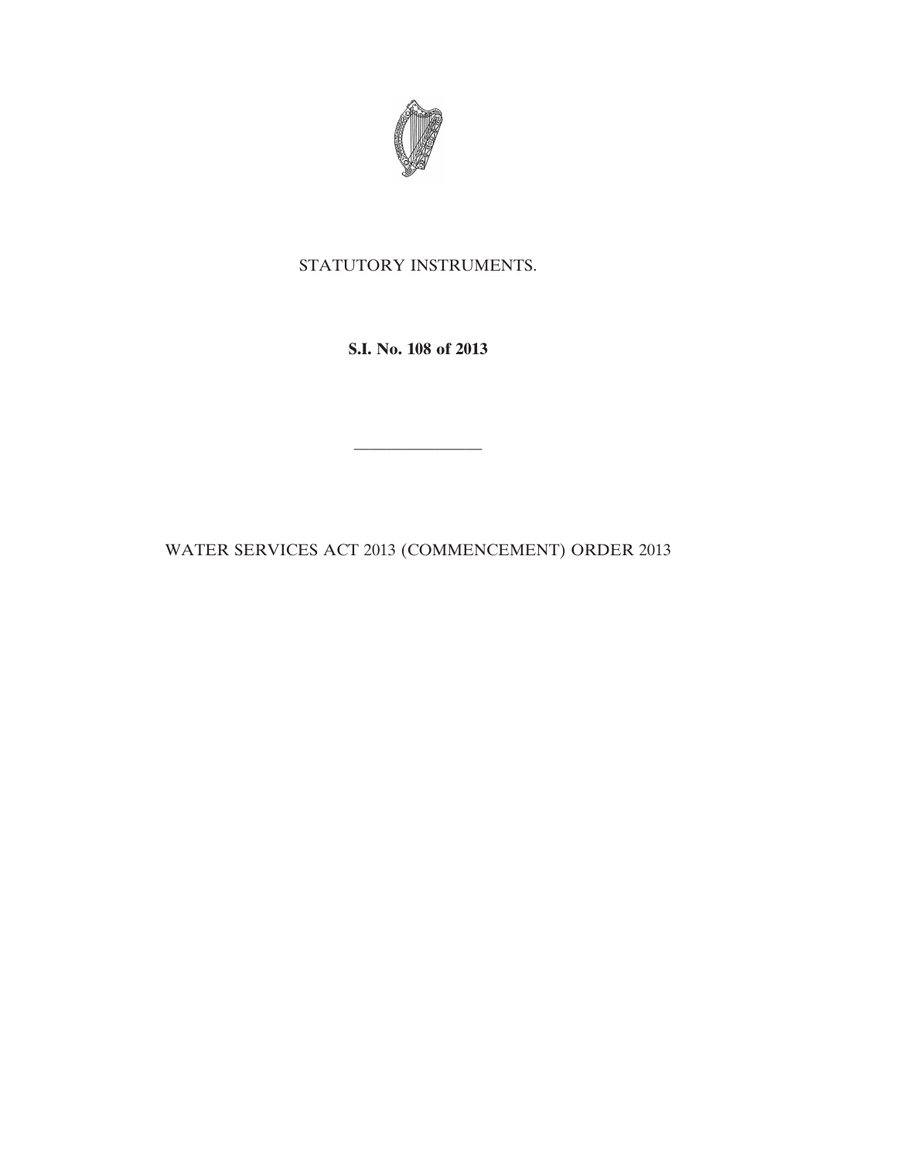

## STATUTORY INSTRUMENTS.

**S.I. No. 108 of 2013**

WATER SERVICES ACT 2013 (COMMENCEMENT) ORDER 2013

————————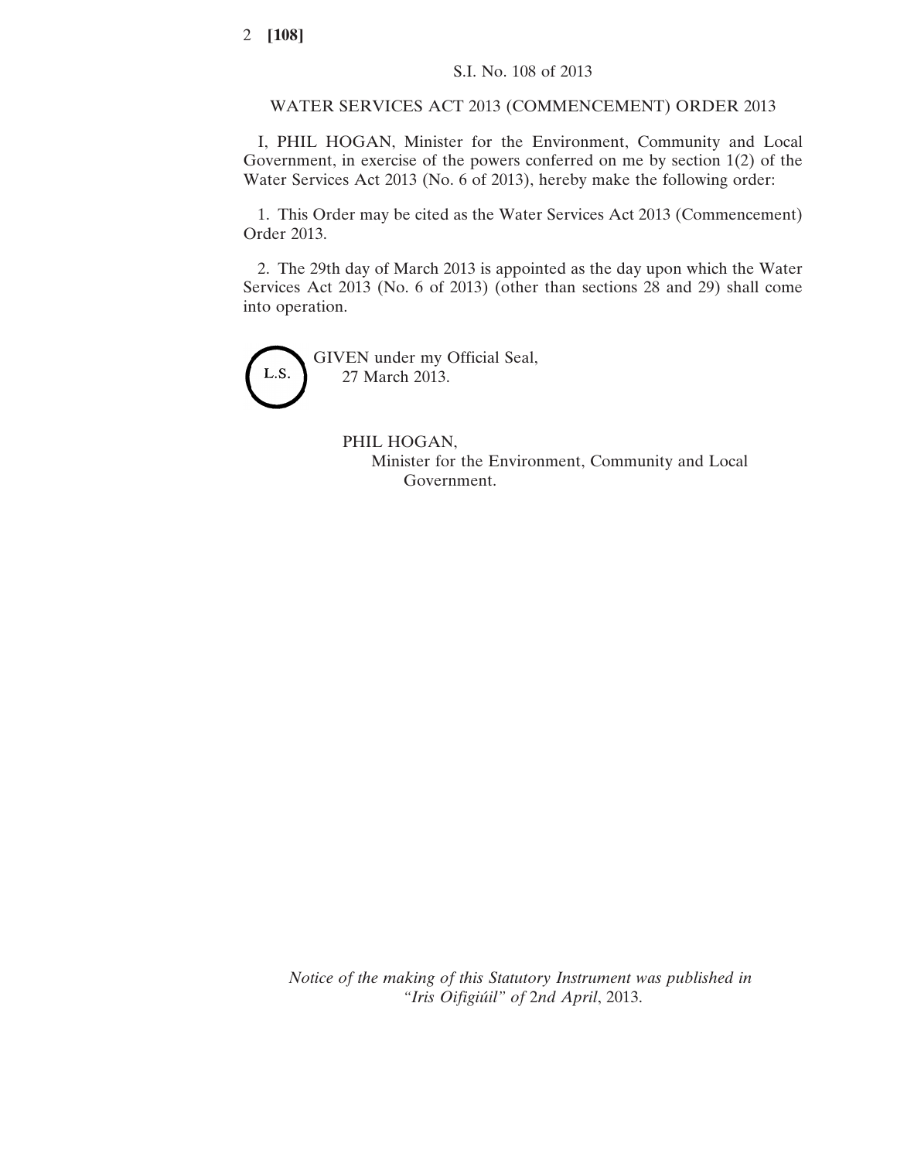WATER SERVICES ACT 2013 (COMMENCEMENT) ORDER 2013

I, PHIL HOGAN, Minister for the Environment, Community and Local Government, in exercise of the powers conferred on me by section 1(2) of the Water Services Act 2013 (No. 6 of 2013), hereby make the following order:

1. This Order may be cited as the Water Services Act 2013 (Commencement) Order 2013.

2. The 29th day of March 2013 is appointed as the day upon which the Water Services Act 2013 (No. 6 of 2013) (other than sections 28 and 29) shall come into operation.



PHIL HOGAN, Minister for the Environment, Community and Local Government.

*Notice of the making of this Statutory Instrument was published in "Iris Oifigiúil" of* 2*nd April*, 2013.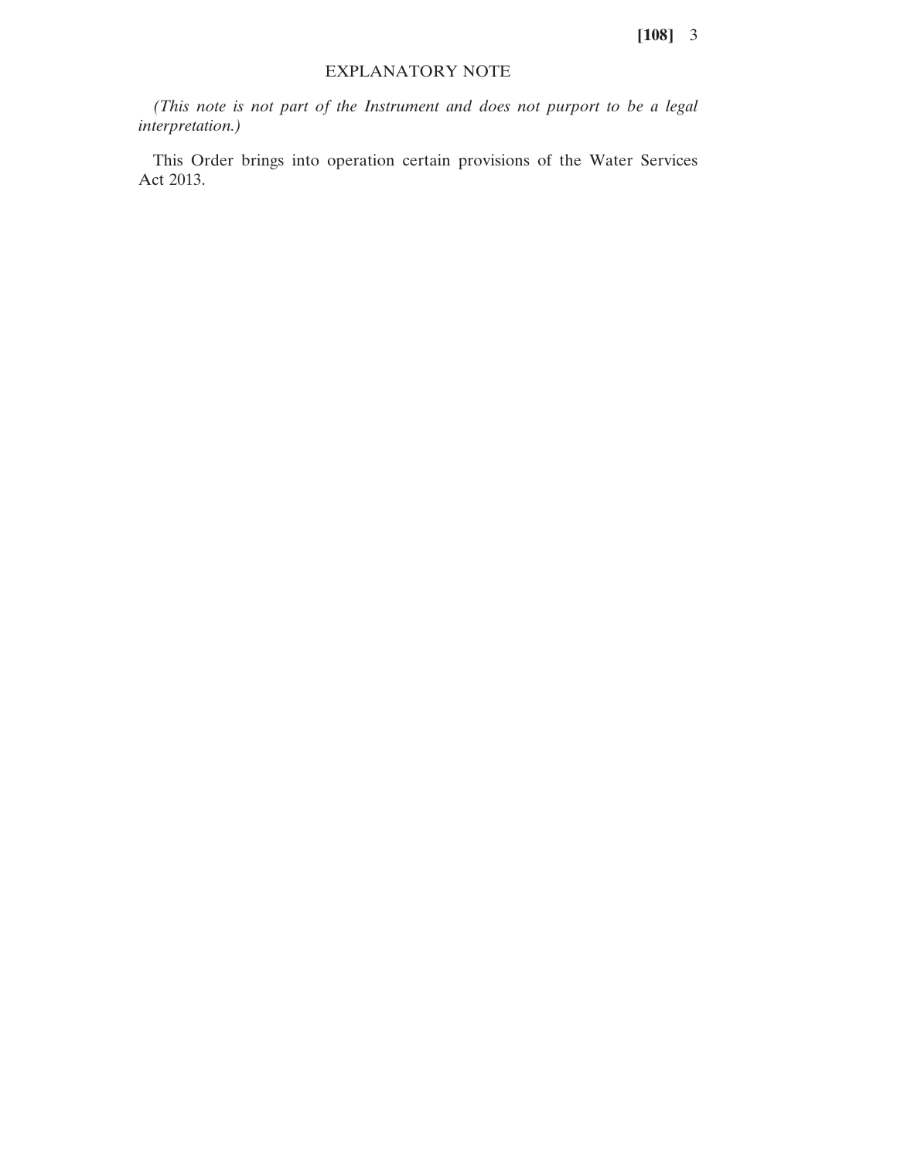**[108]** 3

## EXPLANATORY NOTE

*(This note is not part of the Instrument and does not purport to be a legal interpretation.)*

This Order brings into operation certain provisions of the Water Services Act 2013.